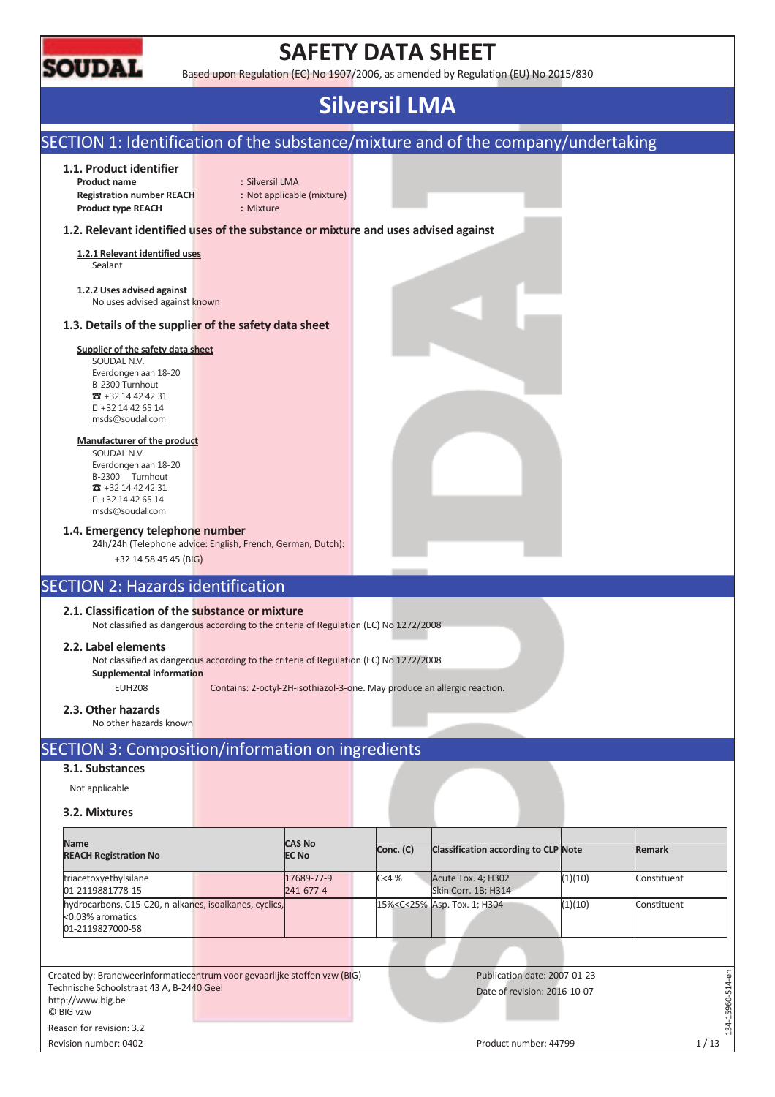

# **SAFETY DATA SHEET**

Based upon Regulation (EC) No 1907/2006, as amended by Regulation (EU) No 2015/830

# **Silversil LMA**

#### SECTION 1: Identification of the substance/mixture and of the company/undertaking **1.1. Product identifier Product name :** Silversil LMA **Registration number REACH :** Not applicable (mixture) **Product type REACH :** Mixture **1.2. Relevant identified uses of the substance or mixture and uses advised against 1.2.1 Relevant identified uses**  Sealant **1.2.2 Uses advised against**  No uses advised against known **1.3. Details of the supplier of the safety data sheet Supplier of the safety data sheet**  SOUDAL N.V. Everdongenlaan 18-20 B-2300 Turnhout  $\overline{3}$  +32 14 42 42 31 +32 14 42 65 14 msds@soudal.com **Manufacturer of the product**  SOUDAL N.V. Everdongenlaan 18-20 B-2300 Turnhout  $\overline{3}$  +32 14 42 42 31 +32 14 42 65 14 msds@soudal.com **1.4. Emergency telephone number**  24h/24h (Telephone advice: English, French, German, Dutch): +32 14 58 45 45 (BIG) SECTION 2: Hazards identification **2.1. Classification of the substance or mixture**  Not classified as dangerous according to the criteria of Regulation (EC) No 1272/2008 **2.2. Label elements**  Not classified as dangerous according to the criteria of Regulation (EC) No 1272/2008 **Supplemental information**  EUH208 Contains: 2-octyl-2H-isothiazol-3-one. May produce an allergic reaction. **2.3. Other hazards**  No other hazards known SECTION 3: Composition/information on ingredients **3.1. Substances**  Not applicable **3.2. Mixtures Name CAS No Conc. (C)** Classification according to CLP Note **Remark REACH Registration No**  triacetoxyethylsilane 17689-77-9 C<4 % Acute Tox. 4; H302 (1)(10) Constituent 01-2119881778-15 241-677-4 Skin Corr. 1B; H314 15%<C<25% Asp. Tox. 1; H304 (1)(10) Constituent hydrocarbons, C15-C20, n-alkanes, isoalkanes, cyclics, <0.03% aromatics 01-2119827000-58  $-15960 - 514 - en$ Created by: Brandweerinformatiecentrum voor gevaarlijke stoffen vzw (BIG) Publication date: 2007-01-23 134-15960-514-en Technische Schoolstraat 43 A, B-2440 Geel Date of revision: 2016-10-07 http://www.big.be © BIG vzw  $-34$ Reason for revision: 3.2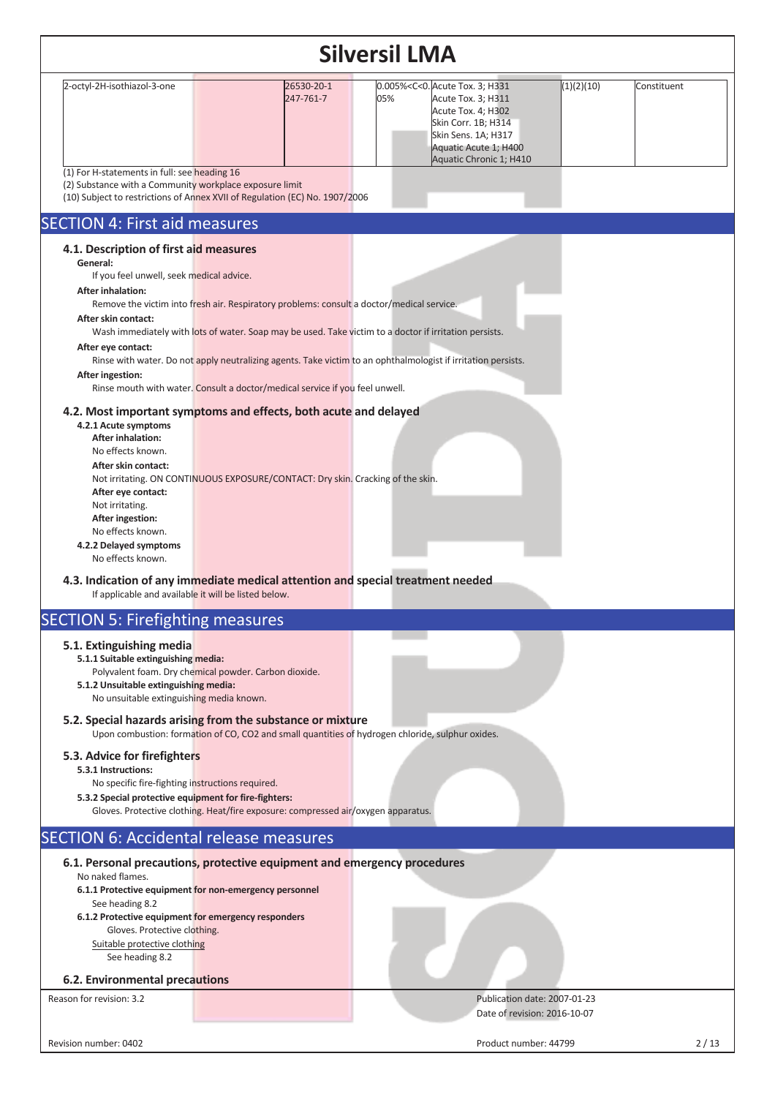|                                                                                                                                                                                                                                                                                                                                                                                                                              |                                                                                                                                                                                                                                                                                                                                                                                                                                            | <b>Silversil LMA</b>                                                                                                                                                                                          |                           |
|------------------------------------------------------------------------------------------------------------------------------------------------------------------------------------------------------------------------------------------------------------------------------------------------------------------------------------------------------------------------------------------------------------------------------|--------------------------------------------------------------------------------------------------------------------------------------------------------------------------------------------------------------------------------------------------------------------------------------------------------------------------------------------------------------------------------------------------------------------------------------------|---------------------------------------------------------------------------------------------------------------------------------------------------------------------------------------------------------------|---------------------------|
| 2-octyl-2H-isothiazol-3-one                                                                                                                                                                                                                                                                                                                                                                                                  | 26530-20-1<br>247-761-7                                                                                                                                                                                                                                                                                                                                                                                                                    | 0.005% <c<0. 3;="" acute="" h331<br="" tox.="">05%<br/>Acute Tox. 3; H311<br/>Acute Tox. 4; H302<br/>Skin Corr. 1B; H314<br/>Skin Sens. 1A; H317<br/>Aquatic Acute 1; H400<br/>Aquatic Chronic 1; H410</c<0.> | (1)(2)(10)<br>Constituent |
| (1) For H-statements in full: see heading 16<br>(2) Substance with a Community workplace exposure limit                                                                                                                                                                                                                                                                                                                      | (10) Subject to restrictions of Annex XVII of Regulation (EC) No. 1907/2006                                                                                                                                                                                                                                                                                                                                                                |                                                                                                                                                                                                               |                           |
| <b>SECTION 4: First aid measures</b>                                                                                                                                                                                                                                                                                                                                                                                         |                                                                                                                                                                                                                                                                                                                                                                                                                                            |                                                                                                                                                                                                               |                           |
| 4.1. Description of first aid measures<br>General:<br>If you feel unwell, seek medical advice.<br><b>After inhalation:</b><br>After skin contact:<br>After eye contact:<br>After ingestion:<br>4.2.1 Acute symptoms<br><b>After inhalation:</b><br>No effects known.<br>After skin contact:<br>After eye contact:<br>Not irritating.<br>After ingestion:<br>No effects known.<br>4.2.2 Delayed symptoms<br>No effects known. | Remove the victim into fresh air. Respiratory problems: consult a doctor/medical service.<br>Wash immediately with lots of water. Soap may be used. Take victim to a doctor if irritation persists.<br>Rinse mouth with water. Consult a doctor/medical service if you feel unwell.<br>4.2. Most important symptoms and effects, both acute and delayed<br>Not irritating. ON CONTINUOUS EXPOSURE/CONTACT: Dry skin. Cracking of the skin. | Rinse with water. Do not apply neutralizing agents. Take victim to an ophthalmologist if irritation persists.                                                                                                 |                           |
| If applicable and available it will be listed below.                                                                                                                                                                                                                                                                                                                                                                         | 4.3. Indication of any immediate medical attention and special treatment needed                                                                                                                                                                                                                                                                                                                                                            |                                                                                                                                                                                                               |                           |
| <b>SECTION 5: Firefighting measures</b>                                                                                                                                                                                                                                                                                                                                                                                      |                                                                                                                                                                                                                                                                                                                                                                                                                                            |                                                                                                                                                                                                               |                           |
| 5.1. Extinguishing media<br>5.1.1 Suitable extinguishing media:<br>5.1.2 Unsuitable extinguishing media:<br>No unsuitable extinguishing media known.                                                                                                                                                                                                                                                                         | Polyvalent foam. Dry chemical powder. Carbon dioxide.                                                                                                                                                                                                                                                                                                                                                                                      |                                                                                                                                                                                                               |                           |
|                                                                                                                                                                                                                                                                                                                                                                                                                              | 5.2. Special hazards arising from the substance or mixture<br>Upon combustion: formation of CO, CO2 and small quantities of hydrogen chloride, sulphur oxides.                                                                                                                                                                                                                                                                             |                                                                                                                                                                                                               |                           |
| 5.3. Advice for firefighters<br>5.3.1 Instructions:<br>No specific fire-fighting instructions required.<br>5.3.2 Special protective equipment for fire-fighters:                                                                                                                                                                                                                                                             | Gloves. Protective clothing. Heat/fire exposure: compressed air/oxygen apparatus.                                                                                                                                                                                                                                                                                                                                                          |                                                                                                                                                                                                               |                           |
|                                                                                                                                                                                                                                                                                                                                                                                                                              | <b>SECTION 6: Accidental release measures</b>                                                                                                                                                                                                                                                                                                                                                                                              |                                                                                                                                                                                                               |                           |
| No naked flames.<br>See heading 8.2<br>6.1.2 Protective equipment for emergency responders<br>Gloves. Protective clothing.<br>Suitable protective clothing<br>See heading 8.2                                                                                                                                                                                                                                                | 6.1. Personal precautions, protective equipment and emergency procedures<br>6.1.1 Protective equipment for non-emergency personnel                                                                                                                                                                                                                                                                                                         |                                                                                                                                                                                                               |                           |
| 6.2. Environmental precautions<br>Reason for revision: 3.2                                                                                                                                                                                                                                                                                                                                                                   |                                                                                                                                                                                                                                                                                                                                                                                                                                            | Publication date: 2007-01-23                                                                                                                                                                                  |                           |
|                                                                                                                                                                                                                                                                                                                                                                                                                              |                                                                                                                                                                                                                                                                                                                                                                                                                                            | Date of revision: 2016-10-07                                                                                                                                                                                  |                           |
| Revision number: 0402                                                                                                                                                                                                                                                                                                                                                                                                        |                                                                                                                                                                                                                                                                                                                                                                                                                                            | Product number: 44799                                                                                                                                                                                         | 2/13                      |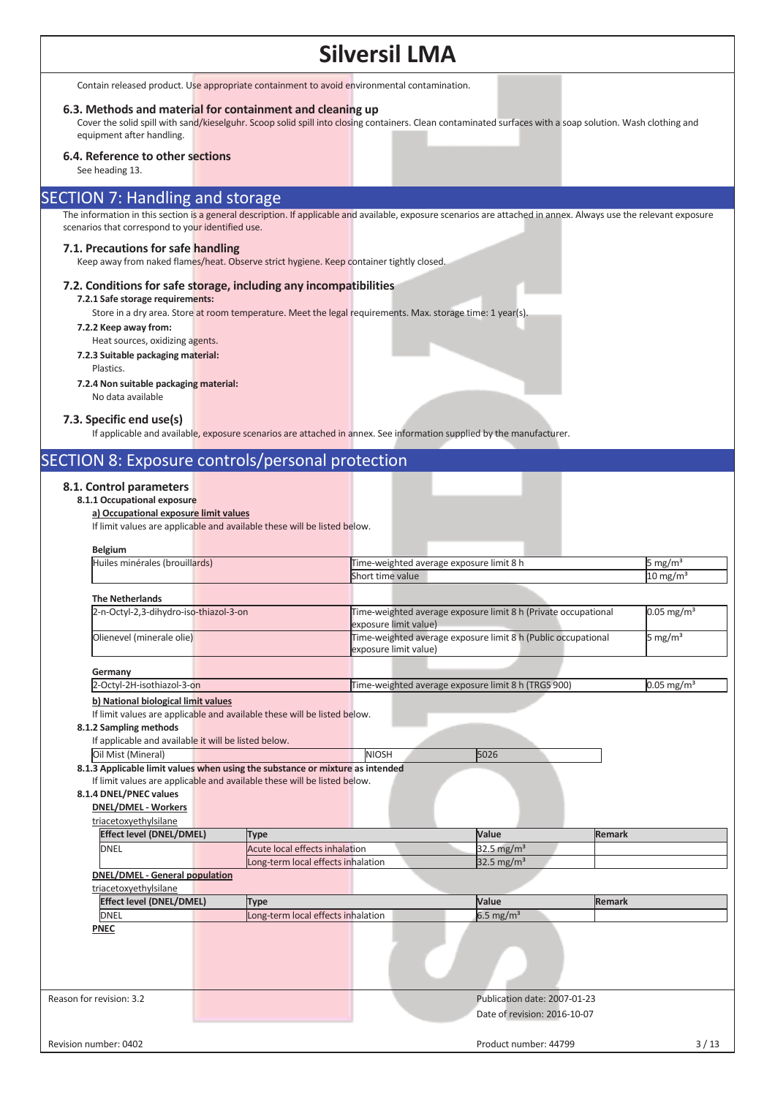Contain released product. Use appropriate containment to avoid environmental contamination.

#### **6.3. Methods and material for containment and cleaning up**

Cover the solid spill with sand/kieselguhr. Scoop solid spill into closing containers. Clean contaminated surfaces with a soap solution. Wash clothing and equipment after handling.

#### **6.4. Reference to other sections**

See heading 13.

#### SECTION 7: Handling and storage

The information in this section is a general description. If applicable and available, exposure scenarios are attached in annex. Always use the relevant exposure scenarios that correspond to your identified use.

#### **7.1. Precautions for safe handling**

Keep away from naked flames/heat. Observe strict hygiene. Keep container tightly closed.

#### **7.2. Conditions for safe storage, including any incompatibilities**

#### **7.2.1 Safe storage requirements:**

Store in a dry area. Store at room temperature. Meet the legal requirements. Max. storage time: 1 year(s).

- **7.2.2 Keep away from:**
- Heat sources, oxidizing agents. **7.2.3 Suitable packaging material:** 
	- Plastics.

#### **7.2.4 Non suitable packaging material:**

No data available

#### **7.3. Specific end use(s)**

If applicable and available, exposure scenarios are attached in annex. See information supplied by the manufacturer.

### SECTION 8: Exposure controls/personal protection

#### **8.1. Control parameters**

#### **8.1.1 Occupational exposure a) Occupational exposure limit values**

If limit values are applicable and available these will be listed below.

| Huiles minérales (brouillards)                                                         |                                    |                       |                                                                |               |                          |
|----------------------------------------------------------------------------------------|------------------------------------|-----------------------|----------------------------------------------------------------|---------------|--------------------------|
|                                                                                        |                                    |                       | Time-weighted average exposure limit 8 h                       |               | 5 mg/m <sup>3</sup>      |
|                                                                                        |                                    | Short time value      |                                                                |               | $10$ mg/m <sup>3</sup>   |
| <b>The Netherlands</b>                                                                 |                                    |                       |                                                                |               |                          |
| 2-n-Octyl-2,3-dihydro-iso-thiazol-3-on                                                 |                                    | exposure limit value) | Time-weighted average exposure limit 8 h (Private occupational |               | $0.05 \text{ mg/m}^3$    |
| Olienevel (minerale olie)                                                              |                                    | exposure limit value) | Time-weighted average exposure limit 8 h (Public occupational  |               | 5 mg/m <sup>3</sup>      |
| Germany                                                                                |                                    |                       |                                                                |               |                          |
| 2-Octyl-2H-isothiazol-3-on                                                             |                                    |                       | Time-weighted average exposure limit 8 h (TRGS 900)            |               | $0.05$ mg/m <sup>3</sup> |
| b) National biological limit values                                                    |                                    |                       |                                                                |               |                          |
| If limit values are applicable and available these will be listed below.               |                                    |                       |                                                                |               |                          |
| 8.1.2 Sampling methods                                                                 |                                    |                       |                                                                |               |                          |
| If applicable and available it will be listed below.                                   |                                    |                       |                                                                |               |                          |
| Oil Mist (Mineral)                                                                     |                                    | <b>NIOSH</b>          | 5026                                                           |               |                          |
| <b>DNEL/DMEL - Workers</b><br>triacetoxyethylsilane<br><b>Effect level (DNEL/DMEL)</b> | <b>Type</b>                        |                       | Value                                                          | <b>Remark</b> |                          |
| <b>DNEL</b>                                                                            | Acute local effects inhalation     |                       | 32.5 mg/ $m3$                                                  |               |                          |
|                                                                                        |                                    |                       |                                                                |               |                          |
|                                                                                        |                                    |                       |                                                                |               |                          |
| <b>DNEL/DMEL - General population</b>                                                  | Long-term local effects inhalation |                       | 32.5 mg/m <sup>3</sup>                                         |               |                          |
| triacetoxyethylsilane                                                                  |                                    |                       |                                                                |               |                          |
| <b>Effect level (DNEL/DMEL)</b>                                                        | <b>Type</b>                        |                       | Value                                                          | Remark        |                          |
| <b>DNEL</b>                                                                            | Long-term local effects inhalation |                       | $6.5 \text{ mg/m}^3$                                           |               |                          |
| <b>PNEC</b>                                                                            |                                    |                       |                                                                |               |                          |
|                                                                                        |                                    |                       |                                                                |               |                          |
| Reason for revision: 3.2                                                               |                                    |                       | Publication date: 2007-01-23                                   |               |                          |
|                                                                                        |                                    |                       | Date of revision: 2016-10-07                                   |               |                          |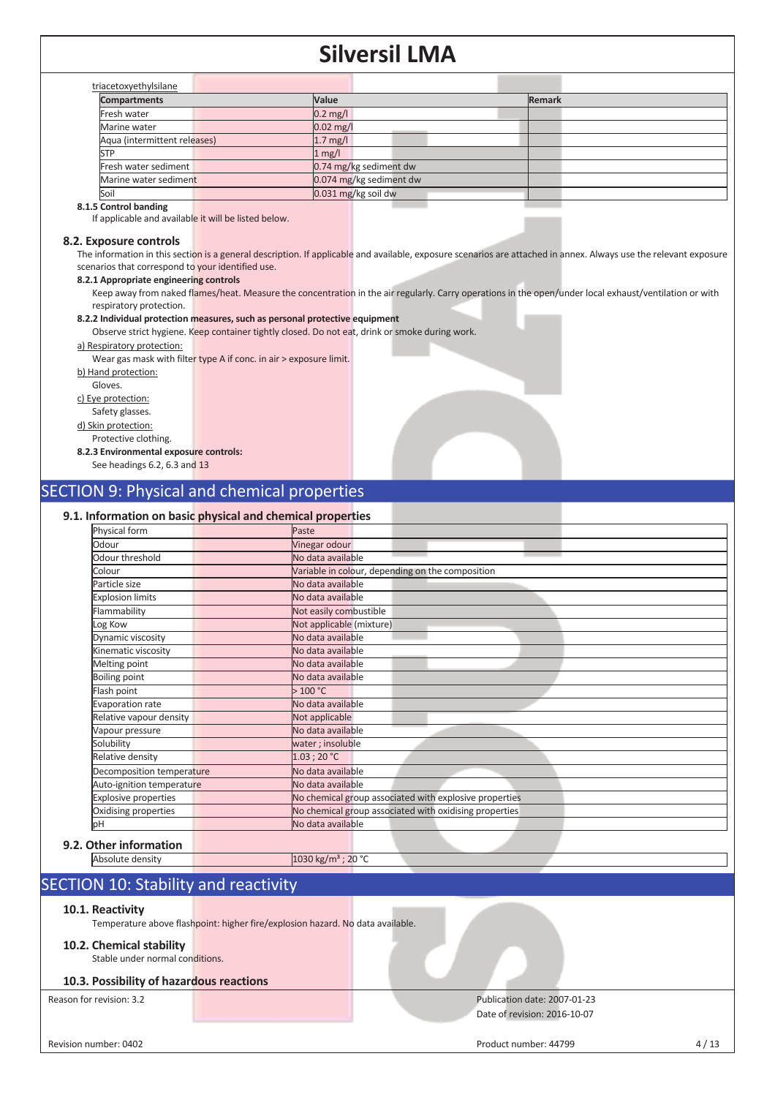| <b>Compartments</b>          | Value                   | <b>Remark</b> |
|------------------------------|-------------------------|---------------|
| Fresh water                  | $0.2$ mg/l              |               |
| Marine water                 | $0.02$ mg/l             |               |
| Aqua (intermittent releases) | $1.7$ mg/l              |               |
| STP                          | $1$ mg/l                |               |
| Fresh water sediment         | 0.74 mg/kg sediment dw  |               |
| Marine water sediment        | 0.074 mg/kg sediment dw |               |
| Soil                         | $0.031$ mg/kg soil dw   |               |

#### **8.1.5 Control banding**

If applicable and available it will be listed below.

#### **8.2. Exposure controls**

The information in this section is a general description. If applicable and available, exposure scenarios are attached in annex. Always use the relevant exposure scenarios that correspond to your identified use.

#### **8.2.1 Appropriate engineering controls**

Keep away from naked flames/heat. Measure the concentration in the air regularly. Carry operations in the open/under local exhaust/ventilation or with respiratory protection.

#### **8.2.2 Individual protection measures, such as personal protective equipment**

Observe strict hygiene. Keep container tightly closed. Do not eat, drink or smoke during work.

#### a) Respiratory protection:

Wear gas mask with filter type A if conc. in air > exposure limit.

b) Hand protection:

Gloves.

c) Eye protection:

Safety glasses.

d) Skin protection:

#### Protective clothing. **8.2.3 Environmental exposure controls:**

See headings 6.2, 6.3 and 13

### SECTION 9: Physical and chemical properties

#### **9.1. Information on basic physical and chemical properties**

| Physical form             | Paste                                                  |
|---------------------------|--------------------------------------------------------|
| Odour                     | Vinegar odour                                          |
| Odour threshold           | No data available                                      |
| Colour                    | Variable in colour, depending on the composition       |
| Particle size             | No data available                                      |
| <b>Explosion limits</b>   | No data available                                      |
| Flammability              | Not easily combustible                                 |
| Log Kow                   | Not applicable (mixture)                               |
| Dynamic viscosity         | No data available                                      |
| Kinematic viscosity       | No data available                                      |
| Melting point             | No data available                                      |
| <b>Boiling point</b>      | No data available                                      |
| Flash point               | >100 °C                                                |
| Evaporation rate          | No data available                                      |
| Relative vapour density   | Not applicable                                         |
| Vapour pressure           | No data available                                      |
| Solubility                | water ; insoluble                                      |
| Relative density          | 1.03:20 °C                                             |
| Decomposition temperature | No data available                                      |
| Auto-ignition temperature | No data available                                      |
| Explosive properties      | No chemical group associated with explosive properties |
| Oxidising properties      | No chemical group associated with oxidising properties |
| pH                        | No data available                                      |

#### **9.2.** Absolute density 1030 kg/m<sup>3</sup> ; 20 °C

### SECTION 10: Stability and reactivity

#### **10.1. Reactivity**

Temperature above flashpoint: higher fire/explosion hazard. No data available.

#### **10.2. Chemical stability**

Stable under normal conditions.

#### **10.3. Possibility of hazardous reactions**

#### Reason for revision: 3.2 Publication date: 2007-01-23 Date of revision: 2016-10-07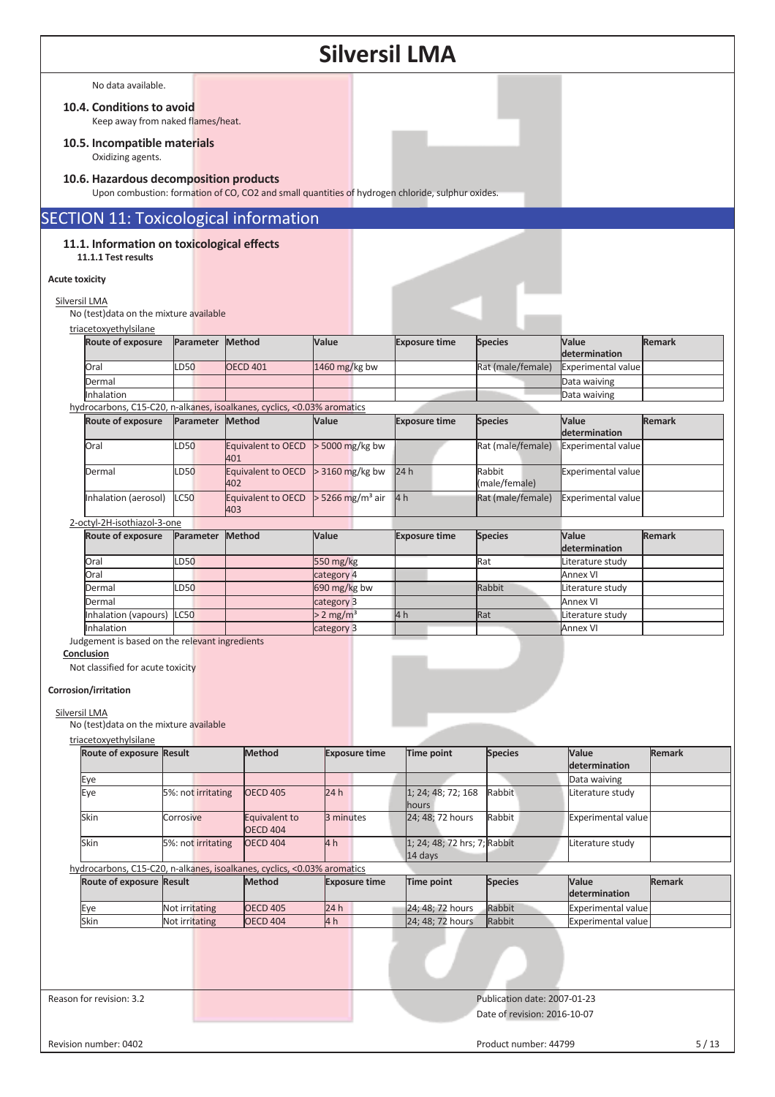|                       |                                                                   |                    |                                                                                                  | <b>Silversil LMA</b>         |                              |                                        |                                     |               |
|-----------------------|-------------------------------------------------------------------|--------------------|--------------------------------------------------------------------------------------------------|------------------------------|------------------------------|----------------------------------------|-------------------------------------|---------------|
|                       | No data available.                                                |                    |                                                                                                  |                              |                              |                                        |                                     |               |
|                       | 10.4. Conditions to avoid<br>Keep away from naked flames/heat.    |                    |                                                                                                  |                              |                              |                                        |                                     |               |
|                       | 10.5. Incompatible materials                                      |                    |                                                                                                  |                              |                              |                                        |                                     |               |
|                       | Oxidizing agents.                                                 |                    |                                                                                                  |                              |                              |                                        |                                     |               |
|                       | 10.6. Hazardous decomposition products                            |                    | Upon combustion: formation of CO, CO2 and small quantities of hydrogen chloride, sulphur oxides. |                              |                              |                                        |                                     |               |
|                       |                                                                   |                    | <b>SECTION 11: Toxicological information</b>                                                     |                              |                              |                                        |                                     |               |
|                       | 11.1. Information on toxicological effects<br>11.1.1 Test results |                    |                                                                                                  |                              |                              |                                        |                                     |               |
| <b>Acute toxicity</b> |                                                                   |                    |                                                                                                  |                              |                              |                                        |                                     |               |
| Silversil LMA         |                                                                   |                    |                                                                                                  |                              |                              |                                        |                                     |               |
|                       | No (test) data on the mixture available                           |                    |                                                                                                  |                              |                              |                                        |                                     |               |
|                       | triacetoxyethylsilane<br><b>Route of exposure</b>                 | Parameter          | Method                                                                                           | Value                        | <b>Exposure time</b>         | <b>Species</b>                         | Value<br>determination              | <b>Remark</b> |
|                       | Oral                                                              | LD50               | <b>OECD 401</b>                                                                                  | 1460 mg/kg bw                |                              | Rat (male/female)                      | Experimental value                  |               |
|                       | Dermal<br>Inhalation                                              |                    |                                                                                                  |                              |                              |                                        | Data waiving<br>Data waiving        |               |
|                       |                                                                   |                    | hydrocarbons, C15-C20, n-alkanes, isoalkanes, cyclics, <0.03% aromatics                          |                              |                              |                                        |                                     |               |
|                       | Route of exposure                                                 | Parameter Method   |                                                                                                  | Value                        | <b>Exposure time</b>         | <b>Species</b>                         | Value<br>determination              | <b>Remark</b> |
|                       | Oral                                                              | LD50               | Equivalent to OECD<br>401                                                                        | > 5000 mg/kg bw              |                              | Rat (male/female)                      | <b>Experimental value</b>           |               |
|                       | Dermal                                                            | LD50               | Equivalent to OECD<br>402                                                                        | > 3160 mg/kg bw              | 24h                          | Rabbit<br>(male/female)                | Experimental value                  |               |
|                       | Inhalation (aerosol)                                              | C <sub>50</sub>    | Equivalent to OECD<br>403                                                                        | > 5266 mg/m <sup>3</sup> air | 4 <sub>h</sub>               | Rat (male/female)                      | Experimental value                  |               |
|                       | 2-octyl-2H-isothiazol-3-one<br><b>Route of exposure</b>           | Parameter          | Method                                                                                           | Value                        | <b>Exposure time</b>         | <b>Species</b>                         | Value                               | <b>Remark</b> |
|                       |                                                                   |                    |                                                                                                  |                              |                              |                                        |                                     |               |
|                       |                                                                   |                    |                                                                                                  |                              |                              |                                        | determination                       |               |
|                       | Oral                                                              | LD50               |                                                                                                  | 550 mg/kg                    |                              | Rat                                    | Literature study                    |               |
|                       | Oral<br>Dermal                                                    | LD50               |                                                                                                  | category 4                   |                              | Rabbit                                 | <b>Annex VI</b>                     |               |
|                       | Dermal                                                            |                    |                                                                                                  | 690 mg/kg bw<br>category 3   |                              |                                        | Literature study<br><b>Annex VI</b> |               |
|                       | Inhalation (vapours) LC50                                         |                    |                                                                                                  | $> 2$ mg/m <sup>3</sup>      | 4 <sub>h</sub>               | Rat                                    | Literature study                    |               |
|                       | Inhalation                                                        |                    |                                                                                                  | category 3                   |                              |                                        | Annex VI                            |               |
|                       | Judgement is based on the relevant ingredients<br>Conclusion      |                    |                                                                                                  |                              |                              |                                        |                                     |               |
|                       | Not classified for acute toxicity                                 |                    |                                                                                                  |                              |                              |                                        |                                     |               |
|                       | Corrosion/irritation                                              |                    |                                                                                                  |                              |                              |                                        |                                     |               |
| Silversil LMA         |                                                                   |                    |                                                                                                  |                              |                              |                                        |                                     |               |
|                       | No (test) data on the mixture available<br>triacetoxyethylsilane  |                    |                                                                                                  |                              |                              |                                        |                                     |               |
|                       | Route of exposure Result                                          |                    | Method                                                                                           | <b>Exposure time</b>         | Time point                   | <b>Species</b>                         | Value                               | <b>Remark</b> |
|                       | Eye                                                               |                    |                                                                                                  |                              |                              |                                        | determination<br>Data waiving       |               |
|                       | Eye                                                               | 5%: not irritating | <b>OECD 405</b>                                                                                  | 24h                          | 1; 24; 48; 72; 168           | Rabbit                                 | Literature study                    |               |
|                       | Skin                                                              | Corrosive          | Equivalent to<br><b>OECD 404</b>                                                                 | 3 minutes                    | hours<br>24; 48; 72 hours    | Rabbit                                 | Experimental value                  |               |
|                       | Skin                                                              | 5%: not irritating | <b>OECD 404</b>                                                                                  | 4 <sub>h</sub>               | 1; 24; 48; 72 hrs; 7; Rabbit |                                        | Literature study                    |               |
|                       |                                                                   |                    | hydrocarbons, C15-C20, n-alkanes, isoalkanes, cyclics, <0.03% aromatics                          |                              | 14 days                      |                                        |                                     |               |
|                       | Route of exposure Result                                          |                    | <b>Method</b>                                                                                    | <b>Exposure time</b>         | Time point                   | <b>Species</b>                         | Value<br>determination              | Remark        |
|                       | Eye                                                               | Not irritating     | <b>OECD 405</b>                                                                                  | 24 h                         | 24; 48; 72 hours             | Rabbit                                 | <b>Experimental value</b>           |               |
|                       | Skin<br>Reason for revision: 3.2                                  | Not irritating     | <b>OECD 404</b>                                                                                  | 4 <sub>h</sub>               | 24; 48; 72 hours             | Rabbit<br>Publication date: 2007-01-23 | <b>Experimental value</b>           |               |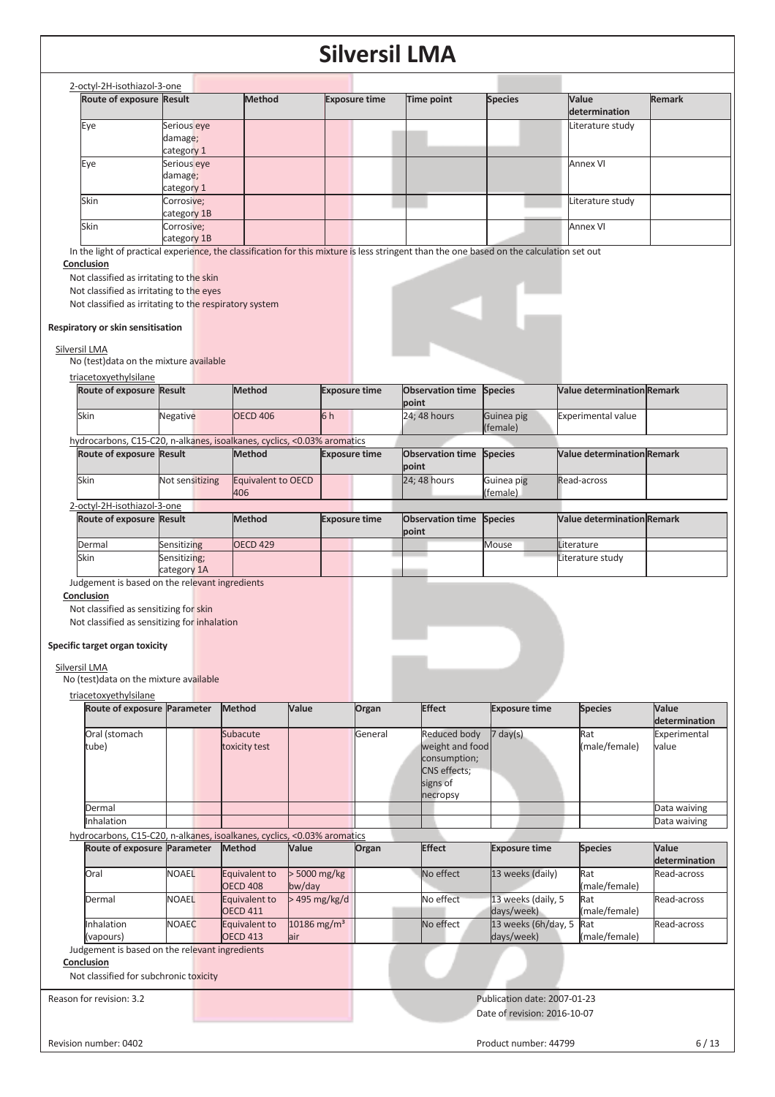| Route of exposure Result                                                                                                                                                                                                       |                                      | <b>Method</b>                                                                                                                             | <b>Exposure time</b> | Time point                       | <b>Species</b>         | Value<br>determination            | <b>Remark</b> |
|--------------------------------------------------------------------------------------------------------------------------------------------------------------------------------------------------------------------------------|--------------------------------------|-------------------------------------------------------------------------------------------------------------------------------------------|----------------------|----------------------------------|------------------------|-----------------------------------|---------------|
| Eye                                                                                                                                                                                                                            | Serious eye<br>damage;<br>category 1 |                                                                                                                                           |                      |                                  |                        | Literature study                  |               |
| Eye                                                                                                                                                                                                                            | Serious eye<br>damage;<br>category 1 |                                                                                                                                           |                      |                                  |                        | <b>Annex VI</b>                   |               |
| Skin                                                                                                                                                                                                                           | Corrosive;<br>category 1B            |                                                                                                                                           |                      |                                  |                        | Literature study                  |               |
| Skin                                                                                                                                                                                                                           | Corrosive;<br>category 1B            | In the light of practical experience, the classification for this mixture is less stringent than the one based on the calculation set out |                      |                                  |                        | <b>Annex VI</b>                   |               |
| Respiratory or skin sensitisation                                                                                                                                                                                              |                                      |                                                                                                                                           |                      |                                  |                        |                                   |               |
|                                                                                                                                                                                                                                |                                      |                                                                                                                                           |                      |                                  |                        |                                   |               |
|                                                                                                                                                                                                                                |                                      | <b>Method</b>                                                                                                                             | <b>Exposure time</b> | <b>Observation time</b>          | <b>Species</b>         | <b>Value determination Remark</b> |               |
|                                                                                                                                                                                                                                | Negative                             | <b>OECD 406</b>                                                                                                                           | 6h                   | point<br>24; 48 hours            | Guinea pig<br>(female) | <b>Experimental value</b>         |               |
|                                                                                                                                                                                                                                |                                      | hydrocarbons, C15-C20, n-alkanes, isoalkanes, cyclics, <0.03% aromatics                                                                   |                      |                                  |                        |                                   |               |
|                                                                                                                                                                                                                                |                                      | Method                                                                                                                                    | <b>Exposure time</b> | <b>Observation time</b><br>point | <b>Species</b>         | <b>Value determination Remark</b> |               |
|                                                                                                                                                                                                                                | Not sensitizing                      | Equivalent to OECD<br>406                                                                                                                 |                      | 24; 48 hours                     | Guinea pig<br>(female) | Read-across                       |               |
|                                                                                                                                                                                                                                |                                      |                                                                                                                                           |                      |                                  |                        |                                   |               |
|                                                                                                                                                                                                                                |                                      | <b>Method</b>                                                                                                                             | <b>Exposure time</b> | <b>Observation time</b><br>point | <b>Species</b>         | <b>Value determination Remark</b> |               |
| Silversil LMA<br>No (test) data on the mixture available<br>triacetoxyethylsilane<br>Route of exposure Result<br>Skin<br>Route of exposure Result<br>Skin<br>2-octyl-2H-isothiazol-3-one<br>Route of exposure Result<br>Dermal | Sensitizing                          | <b>OECD 429</b>                                                                                                                           |                      |                                  | Mouse                  | Literature                        |               |
| Skin<br>Judgement is based on the relevant ingredients                                                                                                                                                                         | Sensitizing;<br>category 1A          |                                                                                                                                           |                      |                                  |                        | Literature study                  |               |

| Route of exposure Parameter                                                                            |              | Method                                                                  | Value                             | Organ   | <b>Effect</b>                                                                                  | <b>Exposure time</b>              | <b>Species</b>       | Value<br>determination |
|--------------------------------------------------------------------------------------------------------|--------------|-------------------------------------------------------------------------|-----------------------------------|---------|------------------------------------------------------------------------------------------------|-----------------------------------|----------------------|------------------------|
| Oral (stomach<br>tube)                                                                                 |              | Subacute<br>toxicity test                                               |                                   | General | Reduced body<br>weight and food<br>consumption;<br><b>CNS</b> effects;<br>signs of<br>necropsy | $7 \text{ day}(s)$                | Rat<br>(male/female) | Experimental<br>value  |
| Dermal                                                                                                 |              |                                                                         |                                   |         |                                                                                                |                                   |                      | Data waiving           |
| Inhalation                                                                                             |              |                                                                         |                                   |         |                                                                                                |                                   |                      | Data waiving           |
|                                                                                                        |              | hydrocarbons, C15-C20, n-alkanes, isoalkanes, cyclics, <0.03% aromatics |                                   |         |                                                                                                |                                   |                      |                        |
| Route of exposure Parameter                                                                            |              | <b>Method</b>                                                           | Value                             | Organ   | <b>Effect</b>                                                                                  | <b>Exposure time</b>              | <b>Species</b>       | Value<br>determination |
| Oral                                                                                                   | <b>NOAEL</b> | Equivalent to<br><b>OECD 408</b>                                        | > 5000 mg/kg<br>$bw$ /day         |         | No effect                                                                                      | 13 weeks (daily)                  | Rat<br>(male/female) | Read-across            |
| Dermal                                                                                                 | <b>NOAEL</b> | Equivalent to<br><b>OECD 411</b>                                        | $>495$ mg/kg/d                    |         | No effect                                                                                      | 13 weeks (daily, 5<br>days/week)  | Rat<br>(male/female) | Read-across            |
| Inhalation<br>(vapours)                                                                                | <b>NOAEC</b> | Equivalent to<br><b>OECD 413</b>                                        | $10186$ mg/m <sup>3</sup><br>lair |         | No effect                                                                                      | 13 weeks (6h/day, 5<br>days/week) | Rat<br>(male/female) | Read-across            |
| Judgement is based on the relevant ingredients<br>Conclusion<br>Not classified for subchronic toxicity |              |                                                                         |                                   |         |                                                                                                |                                   |                      |                        |
| Reason for revision: 3.2                                                                               |              |                                                                         |                                   |         |                                                                                                | Publication date: 2007-01-23      |                      |                        |

Revision number: 0402 6/13

٦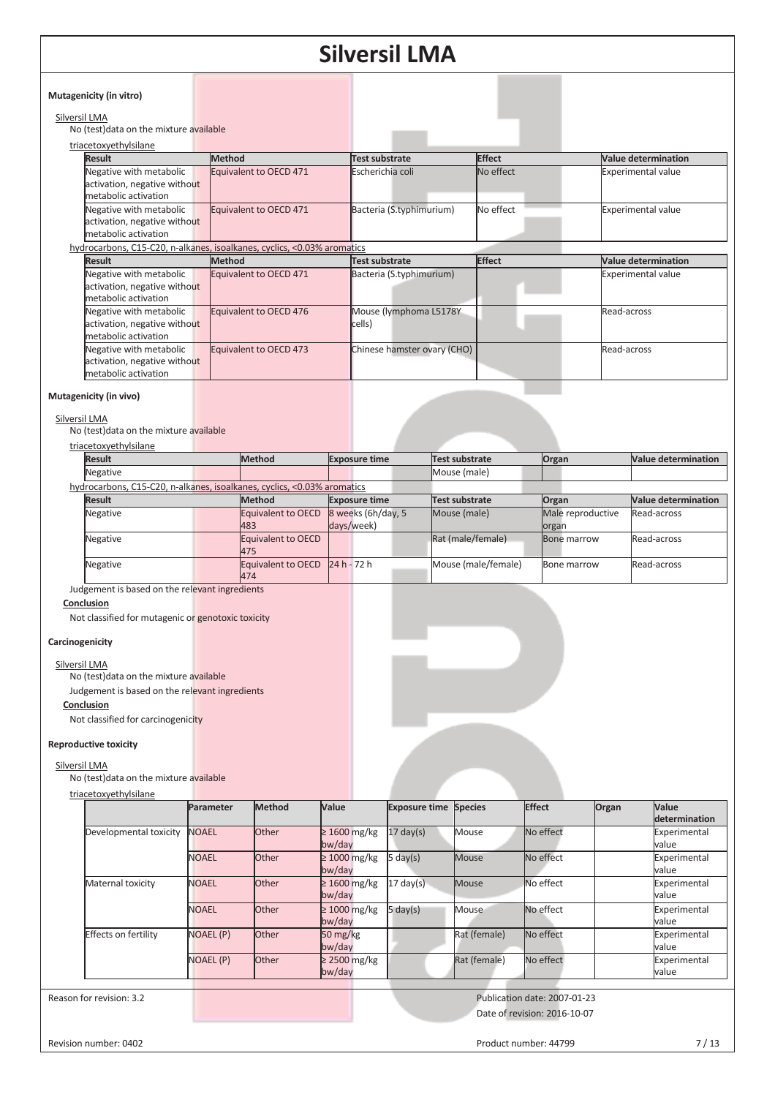| Mutagenicity (in vitro)                                                         |                        |                                  |               |                            |
|---------------------------------------------------------------------------------|------------------------|----------------------------------|---------------|----------------------------|
| Silversil LMA<br>No (test) data on the mixture available                        |                        |                                  |               |                            |
| triacetoxyethylsilane                                                           |                        |                                  |               |                            |
| <b>Result</b>                                                                   | <b>Method</b>          | Test substrate                   | <b>Effect</b> | <b>Value determination</b> |
| Negative with metabolic<br>activation, negative without<br>metabolic activation | Equivalent to OECD 471 | Escherichia coli                 | No effect     | <b>Experimental value</b>  |
| Negative with metabolic<br>activation, negative without<br>metabolic activation | Equivalent to OECD 471 | Bacteria (S.typhimurium)         | No effect     | <b>Experimental value</b>  |
| hydrocarbons, C15-C20, n-alkanes, isoalkanes, cyclics, <0.03% aromatics         |                        |                                  |               |                            |
| <b>Result</b>                                                                   | Method                 | <b>Test substrate</b>            | <b>Effect</b> | <b>Value determination</b> |
| Negative with metabolic<br>activation, negative without<br>metabolic activation | Equivalent to OECD 471 | Bacteria (S.typhimurium)         |               | <b>Experimental value</b>  |
| Negative with metabolic<br>activation, negative without<br>metabolic activation | Equivalent to OECD 476 | Mouse (lymphoma L5178Y<br>cells) |               | Read-across                |
| Negative with metabolic<br>activation, negative without<br>metabolic activation | Equivalent to OECD 473 | Chinese hamster ovary (CHO)      |               | Read-across                |

#### **Mutagenicity (in vivo)**

#### Silversil LMA

No (test)data on the mixture available

| <b>Result</b>                                                           | <b>Method</b>             | <b>Exposure time</b> | Test substrate      | Organ             | <b>Value determination</b> |
|-------------------------------------------------------------------------|---------------------------|----------------------|---------------------|-------------------|----------------------------|
| Negative                                                                |                           |                      | Mouse (male)        |                   |                            |
| hydrocarbons, C15-C20, n-alkanes, isoalkanes, cyclics, <0.03% aromatics |                           |                      |                     |                   |                            |
| <b>Result</b>                                                           | <b>Method</b>             | <b>Exposure time</b> | Test substrate      | Organ             | Value determination        |
| Negative                                                                | <b>Equivalent to OECD</b> | 8 weeks (6h/day, 5)  | Mouse (male)        | Male reproductive | Read-across                |
|                                                                         | 483                       | days/week)           |                     | organ             |                            |
| Negative                                                                | Equivalent to OECD        |                      | Rat (male/female)   | Bone marrow       | Read-across                |
|                                                                         | 475                       |                      |                     |                   |                            |
| Negative                                                                | Equivalent to OECD        | $24 h - 72 h$        | Mouse (male/female) | Bone marrow       | Read-across                |
|                                                                         | 474                       |                      |                     |                   |                            |

Judgement is based on the relevant ingredients

#### **Conclusion**

Not classified for mutagenic or genotoxic toxicity

#### **Carcinogenicity**

Silversil LMA

No (test)data on the mixture available

Judgement is based on the relevant ingredients

#### **Conclusion**

Not classified for carcinogenicity

#### **Reproductive toxicity**

### Silversil LMA

No (test)data on the mixture available

#### triacetoxyethylsilane

|                        | <b>Parameter</b> | <b>Method</b> | Value                                      | <b>Exposure time Species</b> |              | <b>Effect</b> | Organ | <b>Value</b>          |
|------------------------|------------------|---------------|--------------------------------------------|------------------------------|--------------|---------------|-------|-----------------------|
|                        |                  |               |                                            |                              |              |               |       | determination         |
| Developmental toxicity | <b>NOAEL</b>     | <b>Other</b>  | $\geq 1600$ mg/kg<br>bw/day                | $17 \text{ day}(s)$          | Mouse        | No effect     |       | Experimental<br>value |
|                        | <b>NOAEL</b>     | <b>Other</b>  | $\geq 1000$ mg/kg<br>bw/day                | 5 day(s)                     | Mouse        | No effect     |       | Experimental<br>value |
| Maternal toxicity      | <b>NOAEL</b>     | Other         | $\geq 1600$ mg/kg<br>bw/day                | $17 \text{ day(s)}$          | Mouse        | No effect     |       | Experimental<br>value |
|                        | <b>NOAEL</b>     | <b>Other</b>  | $\geq 1000$ mg/kg<br>bw/day                | 5 day(s)                     | Mouse        | No effect     |       | Experimental<br>value |
| Effects on fertility   | <b>NOAEL (P)</b> | <b>Other</b>  | $50 \frac{\text{mg}}{\text{kg}}$<br>bw/day |                              | Rat (female) | No effect     |       | Experimental<br>value |
|                        | <b>NOAEL (P)</b> | Other         | $\geq$ 2500 mg/kg<br>bw/day                |                              | Rat (female) | No effect     |       | Experimental<br>value |

Reason for revision: 3.2 **Publication date: 2007-01-23** Publication date: 2007-01-23 Date of revision: 2016-10-07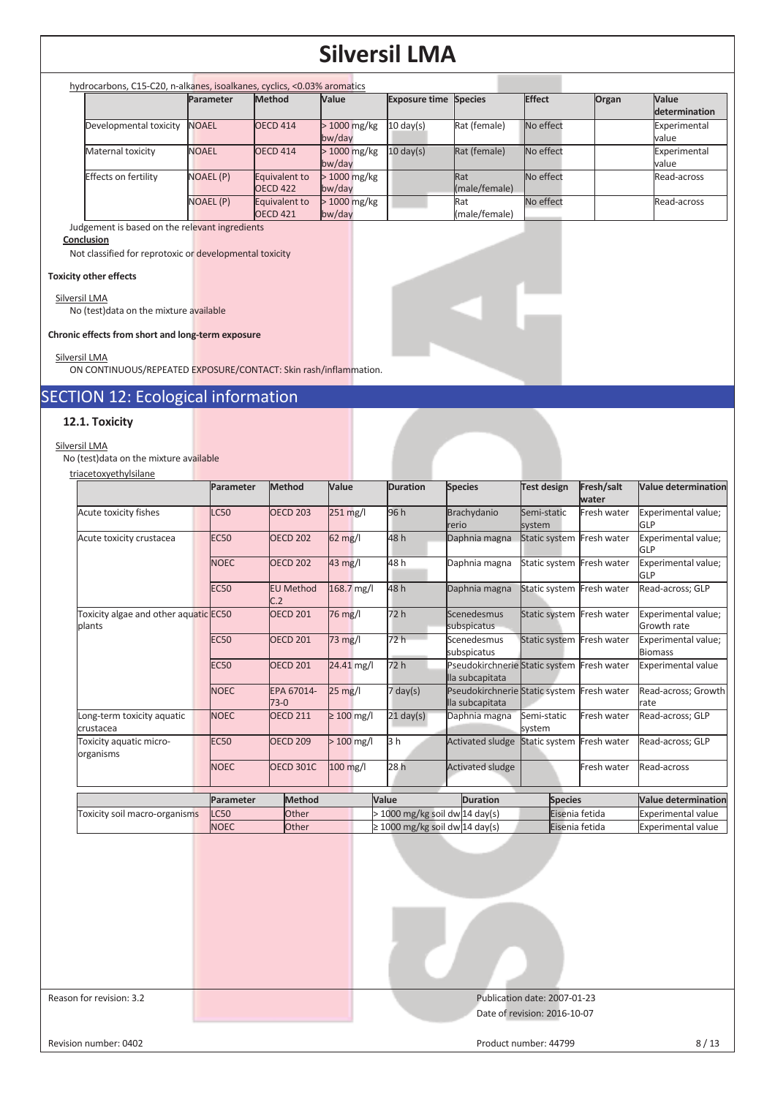| hydrocarbons, C15-C20, n-alkanes, isoalkanes, cyclics, <0.03% aromatics |              |                                      |                         |                              |                      |           |       |                               |
|-------------------------------------------------------------------------|--------------|--------------------------------------|-------------------------|------------------------------|----------------------|-----------|-------|-------------------------------|
|                                                                         | Parameter    | Method                               | <b>Value</b>            | <b>Exposure time Species</b> |                      | Effect    | Organ | <b>Value</b><br>determination |
| Developmental toxicity                                                  | <b>NOAEL</b> | <b>OECD 414</b>                      | > 1000 mg/kg<br>bw/day  | $10 \text{ day(s)}$          | Rat (female)         | No effect |       | Experimental<br>value         |
| Maternal toxicity                                                       | <b>NOAEL</b> | <b>OECD 414</b>                      | $>1000$ mg/kg<br>bw/day | $10 \text{ day(s)}$          | Rat (female)         | No effect |       | Experimental<br>value         |
| Effects on fertility                                                    | NOAEL (P)    | Equivalent to<br>OECD <sub>422</sub> | $>1000$ mg/kg<br>bw/day |                              | Rat<br>(male/female) | No effect |       | Read-across                   |
|                                                                         | NOAEL (P)    | Equivalent to<br><b>OECD 421</b>     | $>1000$ mg/kg<br>bw/day |                              | Rat<br>(male/female) | No effect |       | Read-across                   |

#### Judgement is based on the relevant ingredients

#### **Conclusion**

Not classified for reprotoxic or developmental toxicity

#### **Toxicity other effects**

#### Silversil LMA

No (test)data on the mixture available

**Chronic effects from short and long-term exposure** 

#### Silversil LMA

ON CONTINUOUS/REPEATED EXPOSURE/CONTACT: Skin rash/inflammation.

### SECTION 12: Ecological information

#### **12.1. Toxicity**

#### Silversil LMA

No (test)data on the mixture available

| triacetoxyethylsilane                           |             |                         |                   |                                     |                                                                     |                           |                     |                                       |
|-------------------------------------------------|-------------|-------------------------|-------------------|-------------------------------------|---------------------------------------------------------------------|---------------------------|---------------------|---------------------------------------|
|                                                 | Parameter   | Method                  | Value             | <b>Duration</b>                     | <b>Species</b>                                                      | <b>Test design</b>        | Fresh/salt<br>water | Value determination                   |
| Acute toxicity fishes                           | <b>LC50</b> | <b>OECD 203</b>         | 251 mg/l          | 96 h                                | Brachydanio<br>lrerio                                               | Semi-static<br>system     | Fresh water         | Experimental value;<br>GLP            |
| Acute toxicity crustacea                        | <b>EC50</b> | <b>OECD 202</b>         | 62 mg/l           | 48h                                 | Daphnia magna                                                       | Static system Fresh water |                     | Experimental value;<br>GLP            |
|                                                 | <b>NOEC</b> | <b>OECD 202</b>         | 43 mg/l           | 48h                                 | Daphnia magna                                                       | Static system Fresh water |                     | Experimental value;<br><b>GLP</b>     |
|                                                 | <b>EC50</b> | <b>EU Method</b><br>C.2 | 168.7 mg/l        | 48 h                                | Daphnia magna                                                       | Static system Fresh water |                     | Read-across; GLP                      |
| Toxicity algae and other aquatic EC50<br>plants |             | <b>OECD 201</b>         | 76 mg/l           | 72 h                                | <b>Scenedesmus</b><br>subspicatus                                   | Static system Fresh water |                     | Experimental value;<br>Growth rate    |
|                                                 | <b>EC50</b> | <b>OECD 201</b>         | 73 mg/l           | 72 h                                | Scenedesmus<br>subspicatus                                          | Static system Fresh water |                     | Experimental value;<br><b>Biomass</b> |
|                                                 | <b>EC50</b> | <b>OECD 201</b>         | 24.41 mg/l        | 72 h                                | Pseudokirchnerie Static system Fresh water<br>lla subcapitata       |                           |                     | <b>Experimental value</b>             |
|                                                 | <b>NOEC</b> | EPA 67014-<br>$73-0$    | $25 \text{ mg}/l$ | $7$ day(s)                          | Pseudokirchnerie Static system<br>lla subcapitata                   |                           | Fresh water         | Read-across; Growth<br>rate           |
| Long-term toxicity aquatic<br>crustacea         | <b>NOEC</b> | <b>OECD 211</b>         | $\geq 100$ mg/l   | $21$ day(s)                         | Daphnia magna                                                       | Semi-static<br>system     | Fresh water         | Read-across: GLP                      |
| Toxicity aquatic micro-<br>organisms            | <b>EC50</b> | <b>OECD 209</b>         | $> 100$ mg/l      | 3h                                  | <b>Activated sludge</b>                                             | Static system Fresh water |                     | Read-across; GLP                      |
|                                                 | <b>NOEC</b> | <b>OECD 301C</b>        | 100 mg/l          | 28h                                 | <b>Activated sludge</b>                                             |                           | Fresh water         | Read-across                           |
|                                                 | Parameter   | Method                  |                   | Value                               | <b>Duration</b>                                                     | <b>Species</b>            |                     | Value determination                   |
| Toxicity soil macro-organisms                   | <b>LC50</b> | <b>Other</b>            |                   |                                     | $>$ 1000 mg/kg soil dw $\left  \frac{14 \text{ day(s)}}{1} \right $ |                           | Eisenia fetida      | <b>Experimental value</b>             |
|                                                 | <b>NOEC</b> | Other                   |                   | $\geq 1000$ mg/kg soil dw 14 day(s) |                                                                     |                           | Eisenia fetida      | <b>Experimental value</b>             |

Reason for revision: 3.2 **Publication date: 2007-01-23** Publication date: 2007-01-23 Date of revision: 2016-10-07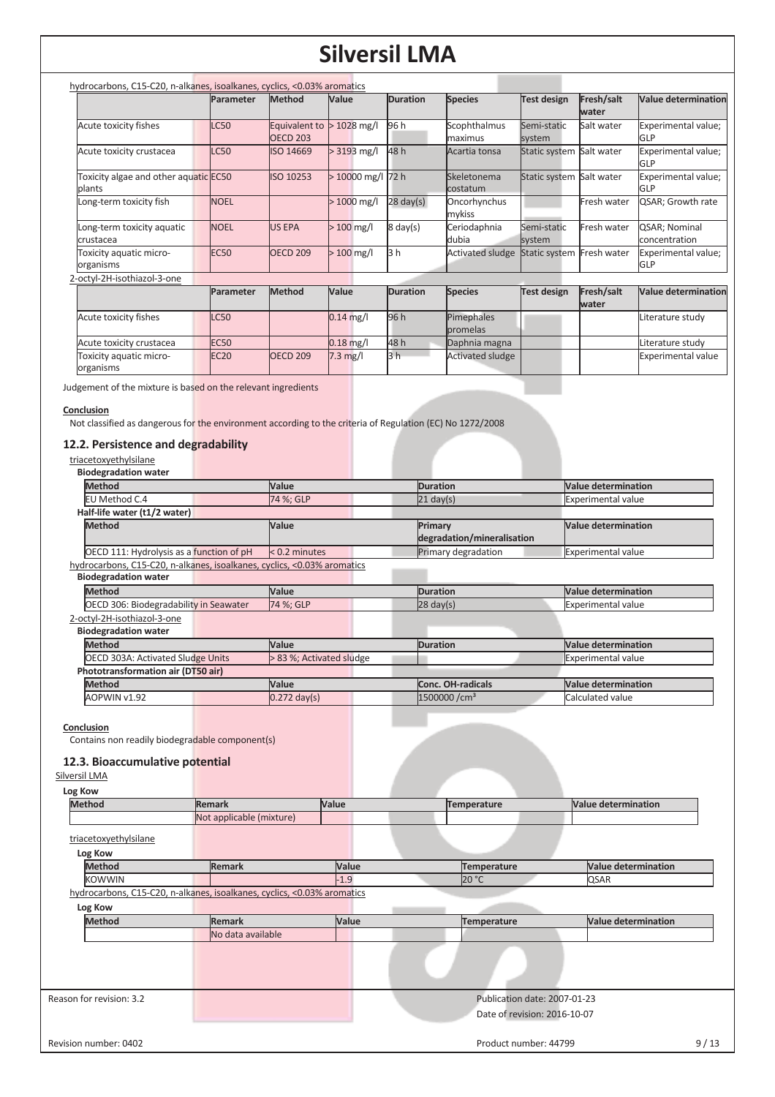| hydrocarbons, C15-C20, n-alkanes, isoalkanes, cyclics, <0.03% aromatics |             |                                  |                    |                     |                         |                          |                     |                                   |
|-------------------------------------------------------------------------|-------------|----------------------------------|--------------------|---------------------|-------------------------|--------------------------|---------------------|-----------------------------------|
|                                                                         | Parameter   | <b>Method</b>                    | Value              | <b>Duration</b>     | <b>Species</b>          | <b>Test design</b>       | Fresh/salt<br>water | <b>Value determination</b>        |
| Acute toxicity fishes                                                   | <b>LC50</b> | Equivalent to<br><b>OECD 203</b> | $1028$ mg/l<br>▷   | 96 h                | Scophthalmus<br>maximus | Semi-static<br>system    | Salt water          | Experimental value;<br><b>GLP</b> |
| Acute toxicity crustacea                                                | <b>LC50</b> | ISO 14669                        | $> 3193$ mg/l      | 48 h                | Acartia tonsa           | Static system Salt water |                     | Experimental value;<br>GLP        |
| Toxicity algae and other aquatic EC50<br>plants                         |             | ISO 10253                        | $>10000$ mg/l 72 h |                     | Skeletonema<br>costatum | Static system Salt water |                     | Experimental value;<br><b>GLP</b> |
| Long-term toxicity fish                                                 | <b>NOEL</b> |                                  | $>1000$ mg/l       | $28 \text{ day}(s)$ | Oncorhynchus<br>mykiss  |                          | Fresh water         | QSAR; Growth rate                 |
| Long-term toxicity aquatic<br>crustacea                                 | <b>NOEL</b> | <b>US EPA</b>                    | $>100$ mg/l        | $8 \text{ day}(s)$  | Ceriodaphnia<br>dubia   | Semi-static<br>system    | Fresh water         | QSAR; Nominal<br>concentration    |
| Toxicity aquatic micro-<br>organisms                                    | <b>EC50</b> | <b>OECD 209</b>                  | $>100$ mg/l        | 3 h                 | <b>Activated sludge</b> | Static system            | Fresh water         | Experimental value;<br><b>GLP</b> |
| 2-octyl-2H-isothiazol-3-one                                             |             |                                  |                    |                     |                         |                          |                     |                                   |
|                                                                         | Parameter   | <b>Method</b>                    | Value              | <b>Duration</b>     | <b>Species</b>          | <b>Test design</b>       | Fresh/salt<br>water | <b>Value determination</b>        |
| Acute toxicity fishes                                                   | LC50        |                                  | $0.14$ mg/l        | 96 h                | Pimephales<br>promelas  |                          |                     | Literature study                  |
| Acute toxicity crustacea                                                | <b>EC50</b> |                                  | $0.18$ mg/l        | 48 h                | Daphnia magna           |                          |                     | Literature study                  |
| Toxicity aquatic micro-<br>organisms                                    | <b>EC20</b> | <b>OECD 209</b>                  | $7.3$ mg/l         | 3 <sub>h</sub>      | <b>Activated sludge</b> |                          |                     | <b>Experimental value</b>         |

Judgement of the mixture is based on the relevant ingredients

#### **Conclusion**

Not classified as dangerous for the environment according to the criteria of Regulation (EC) No 1272/2008

#### **12.2. Persistence and degradability**

| triacetoxyethylsilane                                                   |                          |                     |                            |                            |
|-------------------------------------------------------------------------|--------------------------|---------------------|----------------------------|----------------------------|
| <b>Biodegradation water</b>                                             |                          |                     |                            |                            |
| <b>Method</b>                                                           | Value                    | <b>Duration</b>     |                            | <b>Value determination</b> |
| EU Method C.4                                                           | 74 %; GLP                | $21 \text{ day(s)}$ |                            | <b>Experimental value</b>  |
| Half-life water (t1/2 water)                                            |                          |                     |                            |                            |
| <b>Method</b>                                                           | Value                    | Primary             | degradation/mineralisation | <b>Value determination</b> |
| OECD 111: Hydrolysis as a function of pH                                | $< 0.2$ minutes          |                     | Primary degradation        | <b>Experimental value</b>  |
| hydrocarbons, C15-C20, n-alkanes, isoalkanes, cyclics, <0.03% aromatics |                          |                     |                            |                            |
| <b>Biodegradation water</b>                                             |                          |                     |                            |                            |
| <b>Method</b>                                                           | Value                    | <b>Duration</b>     |                            | <b>Value determination</b> |
| OECD 306: Biodegradability in Seawater                                  | 74 %; GLP                | $28 \text{ day(s)}$ |                            | <b>Experimental value</b>  |
| 2-octyl-2H-isothiazol-3-one                                             |                          |                     |                            |                            |
| <b>Biodegradation water</b>                                             |                          |                     |                            |                            |
| <b>Method</b>                                                           | Value                    | <b>Duration</b>     |                            | <b>Value determination</b> |
| OECD 303A: Activated Sludge Units                                       | > 83 %; Activated sludge |                     |                            | <b>Experimental value</b>  |
| Phototransformation air (DT50 air)                                      |                          |                     |                            |                            |
| <b>Method</b>                                                           | Value                    |                     | Conc. OH-radicals          | <b>Value determination</b> |
| AOPWIN v1.92                                                            | $0.272$ day(s)           |                     | 1500000 / cm <sup>3</sup>  | Calculated value           |

**Conclusion** 

Contains non readily biodegradable component(s)

#### **12.3. Bioaccumulative potential**

### Silversil LMA

| Log Kow                  |                                                                         |        |                              |                            |
|--------------------------|-------------------------------------------------------------------------|--------|------------------------------|----------------------------|
| <b>Method</b>            | <b>Remark</b>                                                           | Value  | Temperature                  | <b>Value determination</b> |
|                          | Not applicable (mixture)                                                |        |                              |                            |
| triacetoxyethylsilane    |                                                                         |        |                              |                            |
| Log Kow                  |                                                                         |        |                              |                            |
| <b>Method</b>            | <b>Remark</b>                                                           | Value  | <b>Temperature</b>           | <b>Value determination</b> |
| <b>KOWWIN</b>            |                                                                         | $-1.9$ | 20 °C                        | QSAR                       |
|                          | hydrocarbons, C15-C20, n-alkanes, isoalkanes, cyclics, <0.03% aromatics |        |                              |                            |
| Log Kow                  |                                                                         |        |                              |                            |
| <b>Method</b>            | Remark                                                                  | Value  | <b>Temperature</b>           | <b>Value determination</b> |
|                          | No data available                                                       |        |                              |                            |
|                          |                                                                         |        |                              |                            |
|                          |                                                                         |        |                              |                            |
|                          |                                                                         |        |                              |                            |
| Reason for revision: 3.2 |                                                                         |        | Publication date: 2007-01-23 |                            |
|                          |                                                                         |        | Date of revision: 2016-10-07 |                            |
|                          |                                                                         |        |                              |                            |
| Revision number: 0402    |                                                                         |        | Product number: 44799        | 9/13                       |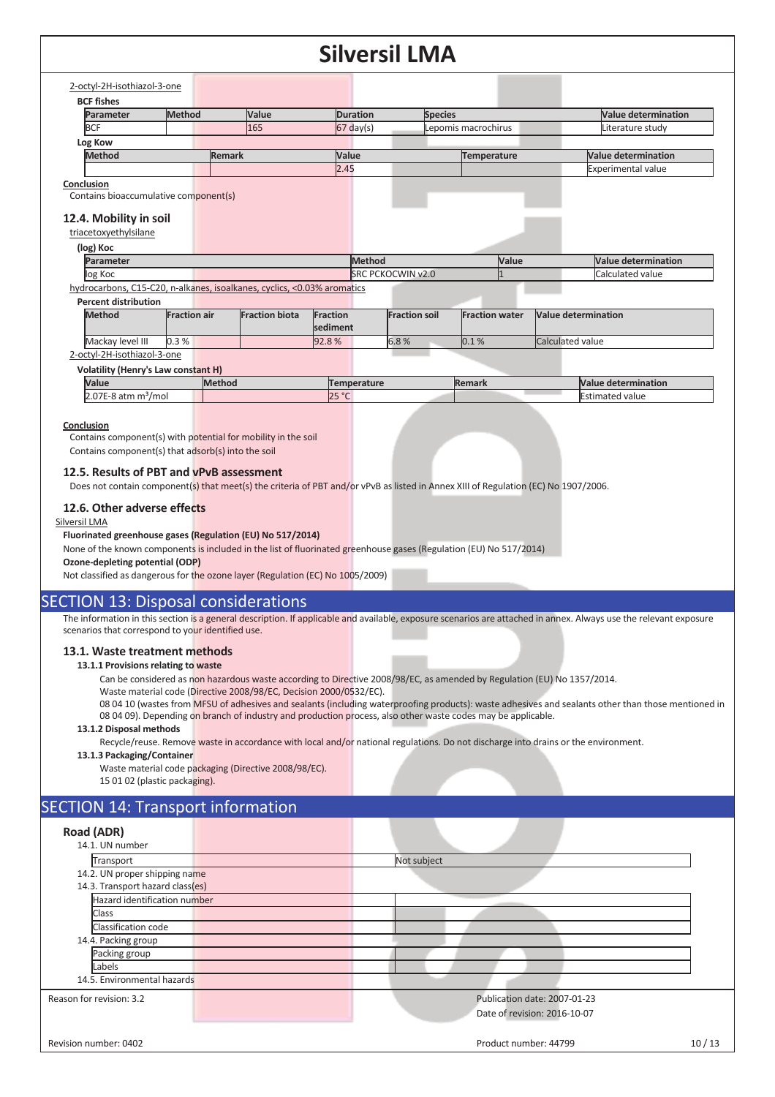| <b>Parameter</b>                                                                                                        | Method              |               | Value                 |          | <b>Duration</b>          | <b>Species</b>       |                       |                     | <b>Value determination</b> |
|-------------------------------------------------------------------------------------------------------------------------|---------------------|---------------|-----------------------|----------|--------------------------|----------------------|-----------------------|---------------------|----------------------------|
| <b>BCF</b>                                                                                                              |                     |               | 165                   |          | $67$ day(s)              |                      | Lepomis macrochirus   |                     | Literature study           |
| Log Kow                                                                                                                 |                     |               |                       |          |                          |                      |                       |                     |                            |
| <b>Method</b>                                                                                                           |                     | <b>Remark</b> |                       | Value    |                          |                      | <b>Temperature</b>    |                     | <b>Value determination</b> |
|                                                                                                                         |                     |               |                       | 2.45     |                          |                      |                       |                     | <b>Experimental value</b>  |
| Conclusion                                                                                                              |                     |               |                       |          |                          |                      |                       |                     |                            |
| Contains bioaccumulative component(s)                                                                                   |                     |               |                       |          |                          |                      |                       |                     |                            |
| 12.4. Mobility in soil                                                                                                  |                     |               |                       |          |                          |                      |                       |                     |                            |
| triacetoxyethylsilane                                                                                                   |                     |               |                       |          |                          |                      |                       |                     |                            |
|                                                                                                                         |                     |               |                       |          |                          |                      |                       |                     |                            |
| (log) Koc<br>Parameter                                                                                                  |                     |               |                       |          | Method                   |                      | Value                 |                     | Value determination        |
| log Koc                                                                                                                 |                     |               |                       |          | <b>SRC PCKOCWIN v2.0</b> |                      |                       |                     | Calculated value           |
| hydrocarbons, C15-C20, n-alkanes, isoalkanes, cyclics, <0.03% aromatics                                                 |                     |               |                       |          |                          |                      |                       |                     |                            |
| <b>Percent distribution</b>                                                                                             |                     |               |                       |          |                          |                      |                       |                     |                            |
|                                                                                                                         |                     |               |                       | Fraction |                          | <b>Fraction soil</b> | <b>Fraction water</b> | Value determination |                            |
| <b>Method</b>                                                                                                           | <b>Fraction air</b> |               | <b>Fraction biota</b> |          |                          |                      |                       |                     |                            |
|                                                                                                                         |                     |               |                       | sediment |                          |                      |                       |                     |                            |
| Mackay level III                                                                                                        | 0.3%                |               |                       | 92.8%    | 6.8%                     |                      | 0.1%                  | Calculated value    |                            |
|                                                                                                                         |                     |               |                       |          |                          |                      |                       |                     |                            |
|                                                                                                                         |                     |               |                       |          |                          |                      |                       |                     |                            |
| 2-octyl-2H-isothiazol-3-one<br><b>Volatility (Henry's Law constant H)</b><br>Value<br>$2.07E-8$ atm m <sup>3</sup> /mol |                     | Method        |                       |          | <b>Temperature</b>       |                      | Remark                |                     | <b>Value determination</b> |

#### **12.6. Other adverse effects**

#### Silversil LMA

#### **Fluorinated greenhouse gases (Regulation (EU) No 517/2014)**

None of the known components is included in the list of fluorinated greenhouse gases (Regulation (EU) No 517/2014)

**Ozone-depleting potential (ODP)** 

Not classified as dangerous for the ozone layer (Regulation (EC) No 1005/2009)

#### SECTION 13: Disposal considerations

The information in this section is a general description. If applicable and available, exposure scenarios are attached in annex. Always use the relevant exposure scenarios that correspond to your identified use.

#### **13.1. Waste treatment methods**

#### **13.1.1 Provisions relating to waste**

Can be considered as non hazardous waste according to Directive 2008/98/EC, as amended by Regulation (EU) No 1357/2014.

Waste material code (Directive 2008/98/EC, Decision 2000/0532/EC).

08 04 10 (wastes from MFSU of adhesives and sealants (including waterproofing products): waste adhesives and sealants other than those mentioned in 08 04 09). Depending on branch of industry and production process, also other waste codes may be applicable.

#### **13.1.2 Disposal methods**

Recycle/reuse. Remove waste in accordance with local and/or national regulations. Do not discharge into drains or the environment.

#### **13.1.3 Packaging/Container**

Waste material code packaging (Directive 2008/98/EC). 15 01 02 (plastic packaging).

#### SECTION 14: Transport information

| Road (ADR)                       |                              |
|----------------------------------|------------------------------|
| 14.1. UN number                  |                              |
| Transport                        | Not subject                  |
| 14.2. UN proper shipping name    |                              |
| 14.3. Transport hazard class(es) |                              |
| Hazard identification number     |                              |
| Class                            |                              |
| Classification code              |                              |
| 14.4. Packing group              |                              |
| Packing group                    |                              |
| Labels                           |                              |
| 14.5. Environmental hazards      |                              |
| Reason for revision: 3.2         | Publication date: 2007-01-23 |
|                                  | Date of revision: 2016-10-07 |
|                                  |                              |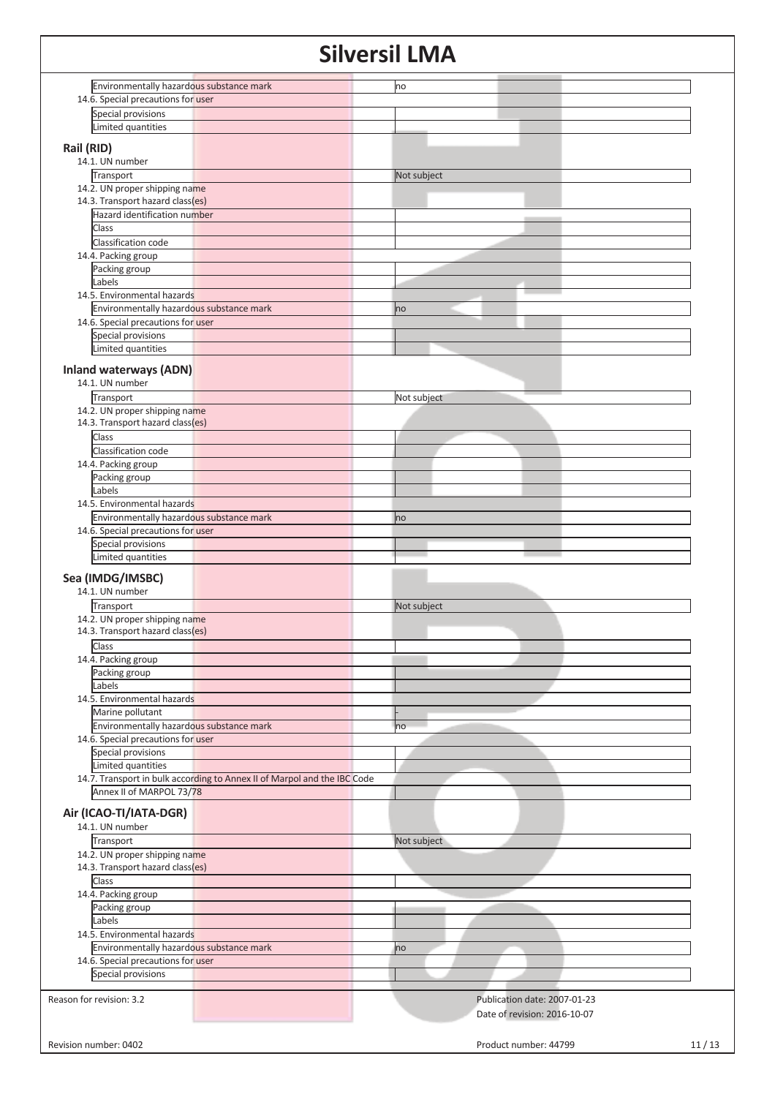| Environmentally hazardous substance mark                                 | no                           |       |
|--------------------------------------------------------------------------|------------------------------|-------|
| 14.6. Special precautions for user                                       |                              |       |
|                                                                          |                              |       |
| Special provisions                                                       |                              |       |
| Limited quantities                                                       |                              |       |
| Rail (RID)                                                               |                              |       |
| 14.1. UN number                                                          |                              |       |
| Transport                                                                | Not subject                  |       |
| 14.2. UN proper shipping name                                            |                              |       |
| 14.3. Transport hazard class(es)                                         |                              |       |
|                                                                          |                              |       |
| Hazard identification number                                             |                              |       |
| Class                                                                    |                              |       |
| Classification code                                                      |                              |       |
| 14.4. Packing group                                                      |                              |       |
| Packing group                                                            |                              |       |
| Labels                                                                   |                              |       |
| 14.5. Environmental hazards                                              |                              |       |
| Environmentally hazardous substance mark                                 | no                           |       |
| 14.6. Special precautions for user                                       |                              |       |
| Special provisions                                                       |                              |       |
| Limited quantities                                                       |                              |       |
|                                                                          |                              |       |
| <b>Inland waterways (ADN)</b>                                            |                              |       |
| 14.1. UN number                                                          |                              |       |
| Transport                                                                | Not subject                  |       |
| 14.2. UN proper shipping name                                            |                              |       |
| 14.3. Transport hazard class(es)                                         |                              |       |
| Class                                                                    |                              |       |
| Classification code                                                      |                              |       |
| 14.4. Packing group                                                      |                              |       |
| Packing group                                                            |                              |       |
| Labels                                                                   |                              |       |
| 14.5. Environmental hazards                                              |                              |       |
|                                                                          |                              |       |
| Environmentally hazardous substance mark                                 | no                           |       |
| 14.6. Special precautions for user                                       |                              |       |
| Special provisions                                                       |                              |       |
| Limited quantities                                                       |                              |       |
| Sea (IMDG/IMSBC)                                                         |                              |       |
|                                                                          |                              |       |
| 14.1. UN number                                                          |                              |       |
| Transport                                                                | Not subject                  |       |
| 14.2. UN proper shipping name                                            |                              |       |
| 14.3. Transport hazard class(es)                                         |                              |       |
| Class                                                                    |                              |       |
| 14.4. Packing group                                                      |                              |       |
| Packing group                                                            |                              |       |
| Labels                                                                   |                              |       |
| 14.5. Environmental hazards                                              |                              |       |
| Marine pollutant                                                         |                              |       |
| Environmentally hazardous substance mark                                 | ho                           |       |
| 14.6. Special precautions for user                                       |                              |       |
| Special provisions                                                       |                              |       |
| Limited quantities                                                       |                              |       |
| 14.7. Transport in bulk according to Annex II of Marpol and the IBC Code |                              |       |
| Annex II of MARPOL 73/78                                                 |                              |       |
|                                                                          |                              |       |
| Air (ICAO-TI/IATA-DGR)                                                   |                              |       |
| 14.1. UN number                                                          |                              |       |
| Transport                                                                | Not subject                  |       |
|                                                                          |                              |       |
| 14.2. UN proper shipping name                                            |                              |       |
| 14.3. Transport hazard class(es)                                         |                              |       |
| Class                                                                    |                              |       |
| 14.4. Packing group                                                      |                              |       |
| Packing group                                                            |                              |       |
| Labels                                                                   |                              |       |
| 14.5. Environmental hazards                                              |                              |       |
| Environmentally hazardous substance mark                                 | no                           |       |
| 14.6. Special precautions for user                                       |                              |       |
| Special provisions                                                       |                              |       |
|                                                                          |                              |       |
| Reason for revision: 3.2                                                 | Publication date: 2007-01-23 |       |
|                                                                          | Date of revision: 2016-10-07 |       |
|                                                                          |                              |       |
|                                                                          |                              |       |
| Revision number: 0402                                                    | Product number: 44799        | 11/13 |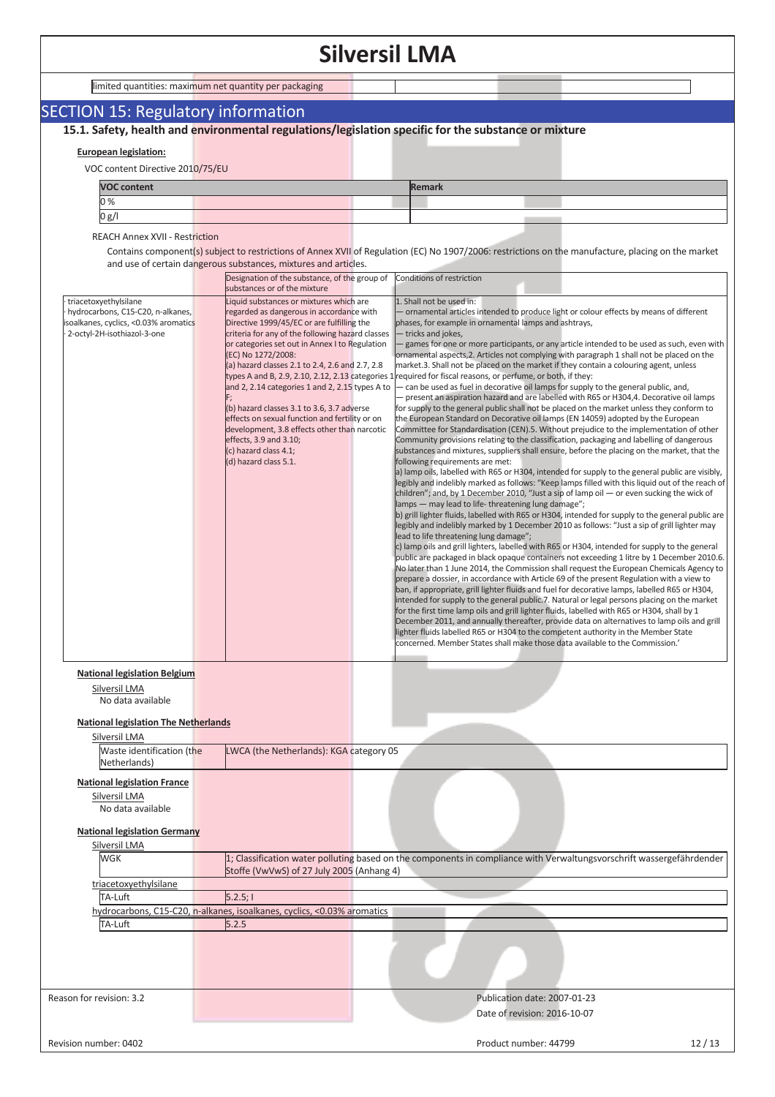|  | limited quantities: maximum net quantity per packaging |  |
|--|--------------------------------------------------------|--|
|  |                                                        |  |

### SECTION 15: Regulatory information

**15.1. Safety, health and environmental regulations/legislation specific for the substance or mixture**

#### **European legislation:**

VOC content Directive 2010/75/EU

| <b>VOC content</b> |  | Remark |  |
|--------------------|--|--------|--|
| 0%                 |  |        |  |
| 0 g/l              |  |        |  |

REACH Annex XVII - Restriction

Contains component(s) subject to restrictions of Annex XVII of Regulation (EC) No 1907/2006: restrictions on the manufacture, placing on the market and use of certain dangerous substances, mixtures and articles.

|                                                                                                                                    | and use of certain dangerous substances, mixtures and articles.                                                                                                                                                                                                                                                                                                                                                                                                                                                                                                                                 |                                                                                                                                                                                                                                                                                                                                                                                                                                                                                                                                                                                                                                                                                                                                                                                                                                                                                                                                                                                                                                                                                                                                                                                                                                                                                                                                                                                                                                                                                                                                                                                                                                                                                                                                                                                                                                                                                                                                                                                                                                                                                                                                                                                                                                                                                                                                                                                                                                                                                                                                                                                                                                                                                                                                                                                                                                                                         |
|------------------------------------------------------------------------------------------------------------------------------------|-------------------------------------------------------------------------------------------------------------------------------------------------------------------------------------------------------------------------------------------------------------------------------------------------------------------------------------------------------------------------------------------------------------------------------------------------------------------------------------------------------------------------------------------------------------------------------------------------|-------------------------------------------------------------------------------------------------------------------------------------------------------------------------------------------------------------------------------------------------------------------------------------------------------------------------------------------------------------------------------------------------------------------------------------------------------------------------------------------------------------------------------------------------------------------------------------------------------------------------------------------------------------------------------------------------------------------------------------------------------------------------------------------------------------------------------------------------------------------------------------------------------------------------------------------------------------------------------------------------------------------------------------------------------------------------------------------------------------------------------------------------------------------------------------------------------------------------------------------------------------------------------------------------------------------------------------------------------------------------------------------------------------------------------------------------------------------------------------------------------------------------------------------------------------------------------------------------------------------------------------------------------------------------------------------------------------------------------------------------------------------------------------------------------------------------------------------------------------------------------------------------------------------------------------------------------------------------------------------------------------------------------------------------------------------------------------------------------------------------------------------------------------------------------------------------------------------------------------------------------------------------------------------------------------------------------------------------------------------------------------------------------------------------------------------------------------------------------------------------------------------------------------------------------------------------------------------------------------------------------------------------------------------------------------------------------------------------------------------------------------------------------------------------------------------------------------------------------------------------|
|                                                                                                                                    | Designation of the substance, of the group of<br>substances or of the mixture                                                                                                                                                                                                                                                                                                                                                                                                                                                                                                                   | Conditions of restriction                                                                                                                                                                                                                                                                                                                                                                                                                                                                                                                                                                                                                                                                                                                                                                                                                                                                                                                                                                                                                                                                                                                                                                                                                                                                                                                                                                                                                                                                                                                                                                                                                                                                                                                                                                                                                                                                                                                                                                                                                                                                                                                                                                                                                                                                                                                                                                                                                                                                                                                                                                                                                                                                                                                                                                                                                                               |
| triacetoxyethylsilane<br>hydrocarbons, C15-C20, n-alkanes,<br>isoalkanes, cyclics, <0.03% aromatics<br>2-octyl-2H-isothiazol-3-one | Liquid substances or mixtures which are<br>regarded as dangerous in accordance with<br>Directive 1999/45/EC or are fulfilling the<br>criteria for any of the following hazard classes<br>or categories set out in Annex I to Regulation<br>(EC) No 1272/2008:<br>(a) hazard classes 2.1 to 2.4, 2.6 and 2.7, 2.8<br>and 2, 2.14 categories 1 and 2, 2.15 types A to<br>(b) hazard classes 3.1 to 3.6, 3.7 adverse<br>effects on sexual function and fertility or on<br>development, 3.8 effects other than narcotic<br>effects, 3.9 and 3.10;<br>(c) hazard class 4.1;<br>(d) hazard class 5.1. | 1. Shall not be used in:<br>ornamental articles intended to produce light or colour effects by means of different<br>phases, for example in ornamental lamps and ashtrays,<br>tricks and jokes,<br>games for one or more participants, or any article intended to be used as such, even with<br>ornamental aspects, 2. Articles not complying with paragraph 1 shall not be placed on the<br>market.3. Shall not be placed on the market if they contain a colouring agent, unless<br>types A and B, 2.9, 2.10, 2.12, 2.13 categories 1 required for fiscal reasons, or perfume, or both, if they:<br>- can be used as fuel in decorative oil lamps for supply to the general public, and,<br>present an aspiration hazard and are labelled with R65 or H304,4. Decorative oil lamps<br>for supply to the general public shall not be placed on the market unless they conform to<br>the European Standard on Decorative oil lamps (EN 14059) adopted by the European<br>Committee for Standardisation (CEN).5. Without prejudice to the implementation of other<br>Community provisions relating to the classification, packaging and labelling of dangerous<br>substances and mixtures, suppliers shall ensure, before the placing on the market, that the<br>following requirements are met:<br>a) lamp oils, labelled with R65 or H304, intended for supply to the general public are visibly,<br>legibly and indelibly marked as follows: "Keep lamps filled with this liquid out of the reach of<br>children"; and, by 1 December 2010, "Just a sip of lamp oil — or even sucking the wick of<br>lamps - may lead to life-threatening lung damage";<br>b) grill lighter fluids, labelled with R65 or H304, intended for supply to the general public are<br>legibly and indelibly marked by 1 December 2010 as follows: "Just a sip of grill lighter may<br>lead to life threatening lung damage";<br>c) lamp oils and grill lighters, labelled with R65 or H304, intended for supply to the general<br>public are packaged in black opaque containers not exceeding 1 litre by 1 December 2010.6.<br>No later than 1 June 2014, the Commission shall request the European Chemicals Agency to<br>prepare a dossier, in accordance with Article 69 of the present Regulation with a view to<br>ban, if appropriate, grill lighter fluids and fuel for decorative lamps, labelled R65 or H304,<br>intended for supply to the general public.7. Natural or legal persons placing on the market<br>for the first time lamp oils and grill lighter fluids, labelled with R65 or H304, shall by 1<br>December 2011, and annually thereafter, provide data on alternatives to lamp oils and grill<br>lighter fluids labelled R65 or H304 to the competent authority in the Member State<br>concerned. Member States shall make those data available to the Commission.' |
| <b>National legislation Belgium</b><br>Silversil LMA<br>No data available                                                          |                                                                                                                                                                                                                                                                                                                                                                                                                                                                                                                                                                                                 |                                                                                                                                                                                                                                                                                                                                                                                                                                                                                                                                                                                                                                                                                                                                                                                                                                                                                                                                                                                                                                                                                                                                                                                                                                                                                                                                                                                                                                                                                                                                                                                                                                                                                                                                                                                                                                                                                                                                                                                                                                                                                                                                                                                                                                                                                                                                                                                                                                                                                                                                                                                                                                                                                                                                                                                                                                                                         |
| <b>National legislation The Netherlands</b>                                                                                        |                                                                                                                                                                                                                                                                                                                                                                                                                                                                                                                                                                                                 |                                                                                                                                                                                                                                                                                                                                                                                                                                                                                                                                                                                                                                                                                                                                                                                                                                                                                                                                                                                                                                                                                                                                                                                                                                                                                                                                                                                                                                                                                                                                                                                                                                                                                                                                                                                                                                                                                                                                                                                                                                                                                                                                                                                                                                                                                                                                                                                                                                                                                                                                                                                                                                                                                                                                                                                                                                                                         |
| Silversil LMA<br>Waste identification (the                                                                                         | LWCA (the Netherlands): KGA category 05                                                                                                                                                                                                                                                                                                                                                                                                                                                                                                                                                         |                                                                                                                                                                                                                                                                                                                                                                                                                                                                                                                                                                                                                                                                                                                                                                                                                                                                                                                                                                                                                                                                                                                                                                                                                                                                                                                                                                                                                                                                                                                                                                                                                                                                                                                                                                                                                                                                                                                                                                                                                                                                                                                                                                                                                                                                                                                                                                                                                                                                                                                                                                                                                                                                                                                                                                                                                                                                         |
| Netherlands)                                                                                                                       |                                                                                                                                                                                                                                                                                                                                                                                                                                                                                                                                                                                                 |                                                                                                                                                                                                                                                                                                                                                                                                                                                                                                                                                                                                                                                                                                                                                                                                                                                                                                                                                                                                                                                                                                                                                                                                                                                                                                                                                                                                                                                                                                                                                                                                                                                                                                                                                                                                                                                                                                                                                                                                                                                                                                                                                                                                                                                                                                                                                                                                                                                                                                                                                                                                                                                                                                                                                                                                                                                                         |
| <b>National legislation France</b><br>Silversil LMA<br>No data available                                                           |                                                                                                                                                                                                                                                                                                                                                                                                                                                                                                                                                                                                 |                                                                                                                                                                                                                                                                                                                                                                                                                                                                                                                                                                                                                                                                                                                                                                                                                                                                                                                                                                                                                                                                                                                                                                                                                                                                                                                                                                                                                                                                                                                                                                                                                                                                                                                                                                                                                                                                                                                                                                                                                                                                                                                                                                                                                                                                                                                                                                                                                                                                                                                                                                                                                                                                                                                                                                                                                                                                         |
| <b>National legislation Germany</b>                                                                                                |                                                                                                                                                                                                                                                                                                                                                                                                                                                                                                                                                                                                 |                                                                                                                                                                                                                                                                                                                                                                                                                                                                                                                                                                                                                                                                                                                                                                                                                                                                                                                                                                                                                                                                                                                                                                                                                                                                                                                                                                                                                                                                                                                                                                                                                                                                                                                                                                                                                                                                                                                                                                                                                                                                                                                                                                                                                                                                                                                                                                                                                                                                                                                                                                                                                                                                                                                                                                                                                                                                         |
| Silversil LMA                                                                                                                      |                                                                                                                                                                                                                                                                                                                                                                                                                                                                                                                                                                                                 |                                                                                                                                                                                                                                                                                                                                                                                                                                                                                                                                                                                                                                                                                                                                                                                                                                                                                                                                                                                                                                                                                                                                                                                                                                                                                                                                                                                                                                                                                                                                                                                                                                                                                                                                                                                                                                                                                                                                                                                                                                                                                                                                                                                                                                                                                                                                                                                                                                                                                                                                                                                                                                                                                                                                                                                                                                                                         |
| WGK                                                                                                                                | Stoffe (VwVwS) of 27 July 2005 (Anhang 4)                                                                                                                                                                                                                                                                                                                                                                                                                                                                                                                                                       | 1; Classification water polluting based on the components in compliance with Verwaltungsvorschrift wassergefährdender                                                                                                                                                                                                                                                                                                                                                                                                                                                                                                                                                                                                                                                                                                                                                                                                                                                                                                                                                                                                                                                                                                                                                                                                                                                                                                                                                                                                                                                                                                                                                                                                                                                                                                                                                                                                                                                                                                                                                                                                                                                                                                                                                                                                                                                                                                                                                                                                                                                                                                                                                                                                                                                                                                                                                   |
| triacetoxyethylsilane                                                                                                              |                                                                                                                                                                                                                                                                                                                                                                                                                                                                                                                                                                                                 |                                                                                                                                                                                                                                                                                                                                                                                                                                                                                                                                                                                                                                                                                                                                                                                                                                                                                                                                                                                                                                                                                                                                                                                                                                                                                                                                                                                                                                                                                                                                                                                                                                                                                                                                                                                                                                                                                                                                                                                                                                                                                                                                                                                                                                                                                                                                                                                                                                                                                                                                                                                                                                                                                                                                                                                                                                                                         |
| TA-Luft                                                                                                                            | 5.2.5;                                                                                                                                                                                                                                                                                                                                                                                                                                                                                                                                                                                          |                                                                                                                                                                                                                                                                                                                                                                                                                                                                                                                                                                                                                                                                                                                                                                                                                                                                                                                                                                                                                                                                                                                                                                                                                                                                                                                                                                                                                                                                                                                                                                                                                                                                                                                                                                                                                                                                                                                                                                                                                                                                                                                                                                                                                                                                                                                                                                                                                                                                                                                                                                                                                                                                                                                                                                                                                                                                         |
| TA-Luft                                                                                                                            | hydrocarbons, C15-C20, n-alkanes, isoalkanes, cyclics, <0.03% aromatics<br>5.2.5                                                                                                                                                                                                                                                                                                                                                                                                                                                                                                                |                                                                                                                                                                                                                                                                                                                                                                                                                                                                                                                                                                                                                                                                                                                                                                                                                                                                                                                                                                                                                                                                                                                                                                                                                                                                                                                                                                                                                                                                                                                                                                                                                                                                                                                                                                                                                                                                                                                                                                                                                                                                                                                                                                                                                                                                                                                                                                                                                                                                                                                                                                                                                                                                                                                                                                                                                                                                         |
|                                                                                                                                    |                                                                                                                                                                                                                                                                                                                                                                                                                                                                                                                                                                                                 |                                                                                                                                                                                                                                                                                                                                                                                                                                                                                                                                                                                                                                                                                                                                                                                                                                                                                                                                                                                                                                                                                                                                                                                                                                                                                                                                                                                                                                                                                                                                                                                                                                                                                                                                                                                                                                                                                                                                                                                                                                                                                                                                                                                                                                                                                                                                                                                                                                                                                                                                                                                                                                                                                                                                                                                                                                                                         |
| Reason for revision: 3.2                                                                                                           |                                                                                                                                                                                                                                                                                                                                                                                                                                                                                                                                                                                                 | Publication date: 2007-01-23                                                                                                                                                                                                                                                                                                                                                                                                                                                                                                                                                                                                                                                                                                                                                                                                                                                                                                                                                                                                                                                                                                                                                                                                                                                                                                                                                                                                                                                                                                                                                                                                                                                                                                                                                                                                                                                                                                                                                                                                                                                                                                                                                                                                                                                                                                                                                                                                                                                                                                                                                                                                                                                                                                                                                                                                                                            |
|                                                                                                                                    |                                                                                                                                                                                                                                                                                                                                                                                                                                                                                                                                                                                                 | Date of revision: 2016-10-07                                                                                                                                                                                                                                                                                                                                                                                                                                                                                                                                                                                                                                                                                                                                                                                                                                                                                                                                                                                                                                                                                                                                                                                                                                                                                                                                                                                                                                                                                                                                                                                                                                                                                                                                                                                                                                                                                                                                                                                                                                                                                                                                                                                                                                                                                                                                                                                                                                                                                                                                                                                                                                                                                                                                                                                                                                            |
| Revision number: 0402                                                                                                              |                                                                                                                                                                                                                                                                                                                                                                                                                                                                                                                                                                                                 | Product number: 44799<br>12/13                                                                                                                                                                                                                                                                                                                                                                                                                                                                                                                                                                                                                                                                                                                                                                                                                                                                                                                                                                                                                                                                                                                                                                                                                                                                                                                                                                                                                                                                                                                                                                                                                                                                                                                                                                                                                                                                                                                                                                                                                                                                                                                                                                                                                                                                                                                                                                                                                                                                                                                                                                                                                                                                                                                                                                                                                                          |